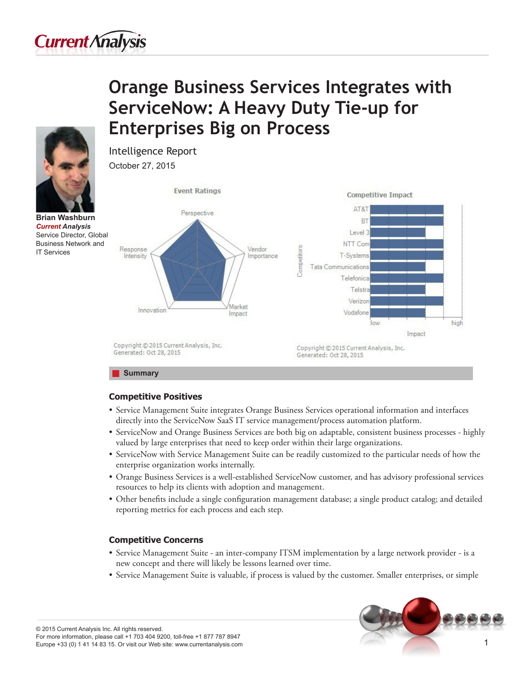

# **Orange Business Services Integrates with ServiceNow: A Heavy Duty Tie-up for Enterprises Big on Process**



**Brian Washburn** *Current Analysis* Service Director, Global Business Network and IT Services



# **Competitive Positives**

Intelligence Report

- • Service Management Suite integrates Orange Business Services operational information and interfaces directly into the ServiceNow SaaS IT service management/process automation platform.
- • ServiceNow and Orange Business Services are both big on adaptable, consistent business processes highly valued by large enterprises that need to keep order within their large organizations.
- • ServiceNow with Service Management Suite can be readily customized to the particular needs of how the enterprise organization works internally.
- • Orange Business Services is a well-established ServiceNow customer, and has advisory professional services resources to help its clients with adoption and management.
- • Other benefits include a single configuration management database; a single product catalog; and detailed reporting metrics for each process and each step.

# **Competitive Concerns**

- • Service Management Suite an inter-company ITSM implementation by a large network provider is a new concept and there will likely be lessons learned over time.
- • Service Management Suite is valuable, if process is valued by the customer. Smaller enterprises, or simple

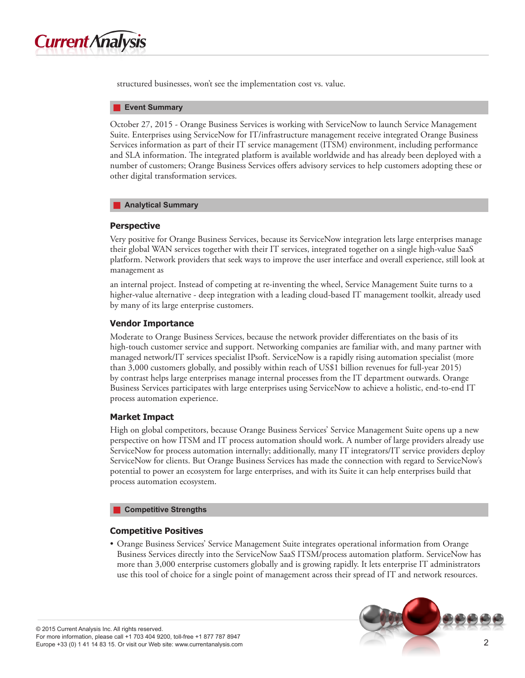

structured businesses, won't see the implementation cost vs. value.

#### **F** Event Summary

October 27, 2015 - Orange Business Services is working with ServiceNow to launch Service Management Suite. Enterprises using ServiceNow for IT/infrastructure management receive integrated Orange Business Services information as part of their IT service management (ITSM) environment, including performance and SLA information. The integrated platform is available worldwide and has already been deployed with a number of customers; Orange Business Services offers advisory services to help customers adopting these or other digital transformation services.

#### **Analytical Summary**

## **Perspective**

Very positive for Orange Business Services, because its ServiceNow integration lets large enterprises manage their global WAN services together with their IT services, integrated together on a single high-value SaaS platform. Network providers that seek ways to improve the user interface and overall experience, still look at management as

an internal project. Instead of competing at re-inventing the wheel, Service Management Suite turns to a higher-value alternative - deep integration with a leading cloud-based IT management toolkit, already used by many of its large enterprise customers.

# **Vendor Importance**

Moderate to Orange Business Services, because the network provider differentiates on the basis of its high-touch customer service and support. Networking companies are familiar with, and many partner with managed network/IT services specialist IPsoft. ServiceNow is a rapidly rising automation specialist (more than 3,000 customers globally, and possibly within reach of US\$1 billion revenues for full-year 2015) by contrast helps large enterprises manage internal processes from the IT department outwards. Orange Business Services participates with large enterprises using ServiceNow to achieve a holistic, end-to-end IT process automation experience.

# **Market Impact**

High on global competitors, because Orange Business Services' Service Management Suite opens up a new perspective on how ITSM and IT process automation should work. A number of large providers already use ServiceNow for process automation internally; additionally, many IT integrators/IT service providers deploy ServiceNow for clients. But Orange Business Services has made the connection with regard to ServiceNow's potential to power an ecosystem for large enterprises, and with its Suite it can help enterprises build that process automation ecosystem.

#### **Competitive Strengths**

## **Competitive Positives**

• Orange Business Services' Service Management Suite integrates operational information from Orange Business Services directly into the ServiceNow SaaS ITSM/process automation platform. ServiceNow has more than 3,000 enterprise customers globally and is growing rapidly. It lets enterprise IT administrators use this tool of choice for a single point of management across their spread of IT and network resources.

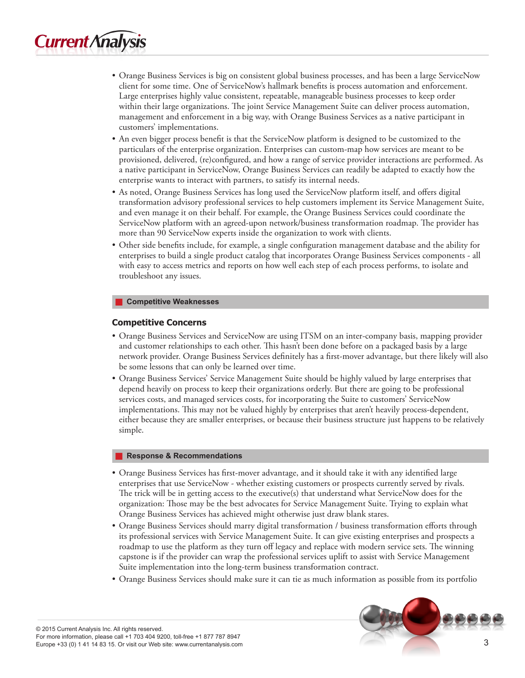- • Orange Business Services is big on consistent global business processes, and has been a large ServiceNow client for some time. One of ServiceNow's hallmark benefits is process automation and enforcement. Large enterprises highly value consistent, repeatable, manageable business processes to keep order within their large organizations. The joint Service Management Suite can deliver process automation, management and enforcement in a big way, with Orange Business Services as a native participant in customers' implementations.
- • An even bigger process benefit is that the ServiceNow platform is designed to be customized to the particulars of the enterprise organization. Enterprises can custom-map how services are meant to be provisioned, delivered, (re)configured, and how a range of service provider interactions are performed. As a native participant in ServiceNow, Orange Business Services can readily be adapted to exactly how the enterprise wants to interact with partners, to satisfy its internal needs.
- • As noted, Orange Business Services has long used the ServiceNow platform itself, and offers digital transformation advisory professional services to help customers implement its Service Management Suite, and even manage it on their behalf. For example, the Orange Business Services could coordinate the ServiceNow platform with an agreed-upon network/business transformation roadmap. The provider has more than 90 ServiceNow experts inside the organization to work with clients.
- • Other side benefits include, for example, a single configuration management database and the ability for enterprises to build a single product catalog that incorporates Orange Business Services components - all with easy to access metrics and reports on how well each step of each process performs, to isolate and troubleshoot any issues.

## J **Competitive Weaknesses**

# **Competitive Concerns**

- • Orange Business Services and ServiceNow are using ITSM on an inter-company basis, mapping provider and customer relationships to each other. This hasn't been done before on a packaged basis by a large network provider. Orange Business Services definitely has a first-mover advantage, but there likely will also be some lessons that can only be learned over time.
- • Orange Business Services' Service Management Suite should be highly valued by large enterprises that depend heavily on process to keep their organizations orderly. But there are going to be professional services costs, and managed services costs, for incorporating the Suite to customers' ServiceNow implementations. This may not be valued highly by enterprises that aren't heavily process-dependent, either because they are smaller enterprises, or because their business structure just happens to be relatively simple.

## **Response & Recommendations**

- • Orange Business Services has first-mover advantage, and it should take it with any identified large enterprises that use ServiceNow - whether existing customers or prospects currently served by rivals. The trick will be in getting access to the executive(s) that understand what ServiceNow does for the organization: Those may be the best advocates for Service Management Suite. Trying to explain what Orange Business Services has achieved might otherwise just draw blank stares.
- • Orange Business Services should marry digital transformation / business transformation efforts through its professional services with Service Management Suite. It can give existing enterprises and prospects a roadmap to use the platform as they turn off legacy and replace with modern service sets. The winning capstone is if the provider can wrap the professional services uplift to assist with Service Management Suite implementation into the long-term business transformation contract.
- • Orange Business Services should make sure it can tie as much information as possible from its portfolio

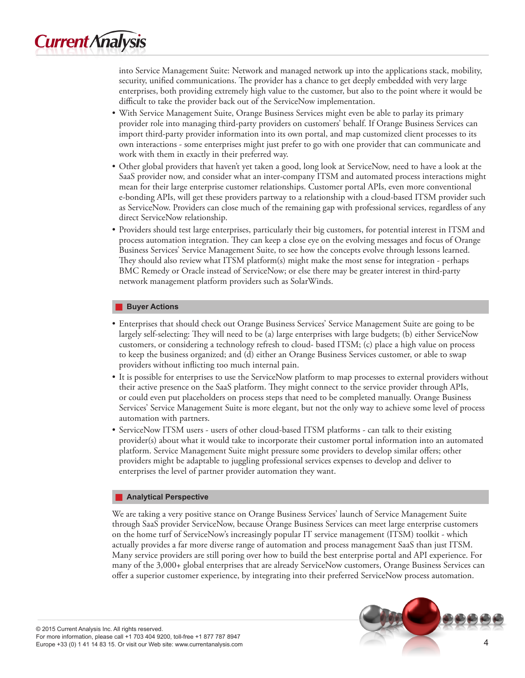

into Service Management Suite: Network and managed network up into the applications stack, mobility, security, unified communications. The provider has a chance to get deeply embedded with very large enterprises, both providing extremely high value to the customer, but also to the point where it would be difficult to take the provider back out of the ServiceNow implementation.

- • With Service Management Suite, Orange Business Services might even be able to parlay its primary provider role into managing third-party providers on customers' behalf. If Orange Business Services can import third-party provider information into its own portal, and map customized client processes to its own interactions - some enterprises might just prefer to go with one provider that can communicate and work with them in exactly in their preferred way.
- • Other global providers that haven't yet taken a good, long look at ServiceNow, need to have a look at the SaaS provider now, and consider what an inter-company ITSM and automated process interactions might mean for their large enterprise customer relationships. Customer portal APIs, even more conventional e-bonding APIs, will get these providers partway to a relationship with a cloud-based ITSM provider such as ServiceNow. Providers can close much of the remaining gap with professional services, regardless of any direct ServiceNow relationship.
- • Providers should test large enterprises, particularly their big customers, for potential interest in ITSM and process automation integration. They can keep a close eye on the evolving messages and focus of Orange Business Services' Service Management Suite, to see how the concepts evolve through lessons learned. They should also review what ITSM platform(s) might make the most sense for integration - perhaps BMC Remedy or Oracle instead of ServiceNow; or else there may be greater interest in third-party network management platform providers such as SolarWinds.

#### **Buyer Actions**

- • Enterprises that should check out Orange Business Services' Service Management Suite are going to be largely self-selecting: They will need to be (a) large enterprises with large budgets; (b) either ServiceNow customers, or considering a technology refresh to cloud- based ITSM; (c) place a high value on process to keep the business organized; and (d) either an Orange Business Services customer, or able to swap providers without inflicting too much internal pain.
- It is possible for enterprises to use the ServiceNow platform to map processes to external providers without their active presence on the SaaS platform. They might connect to the service provider through APIs, or could even put placeholders on process steps that need to be completed manually. Orange Business Services' Service Management Suite is more elegant, but not the only way to achieve some level of process automation with partners.
- ServiceNow ITSM users users of other cloud-based ITSM platforms can talk to their existing provider(s) about what it would take to incorporate their customer portal information into an automated platform. Service Management Suite might pressure some providers to develop similar offers; other providers might be adaptable to juggling professional services expenses to develop and deliver to enterprises the level of partner provider automation they want.

## **Analytical Perspective**

We are taking a very positive stance on Orange Business Services' launch of Service Management Suite through SaaS provider ServiceNow, because Orange Business Services can meet large enterprise customers on the home turf of ServiceNow's increasingly popular IT service management (ITSM) toolkit - which actually provides a far more diverse range of automation and process management SaaS than just ITSM. Many service providers are still poring over how to build the best enterprise portal and API experience. For many of the 3,000+ global enterprises that are already ServiceNow customers, Orange Business Services can offer a superior customer experience, by integrating into their preferred ServiceNow process automation.